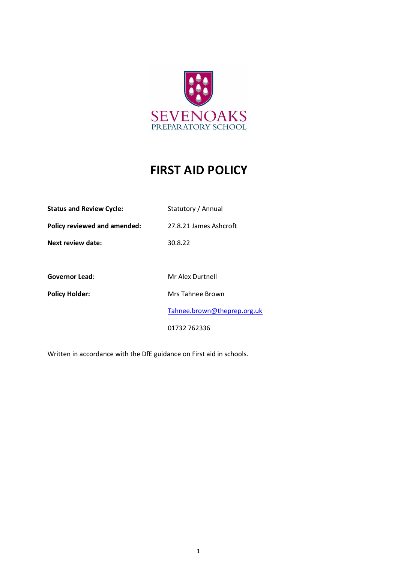

# **FIRST AID POLICY**

| <b>Status and Review Cycle:</b> | Statutory / Annual          |
|---------------------------------|-----------------------------|
| Policy reviewed and amended:    | 27.8.21 James Ashcroft      |
| Next review date:               | 30.8.22                     |
|                                 |                             |
| <b>Governor Lead:</b>           | Mr Alex Durtnell            |
| <b>Policy Holder:</b>           | Mrs Tahnee Brown            |
|                                 | Tahnee.brown@theprep.org.uk |
|                                 | 01732 762336                |

Written in accordance with the DfE guidance on First aid in schools.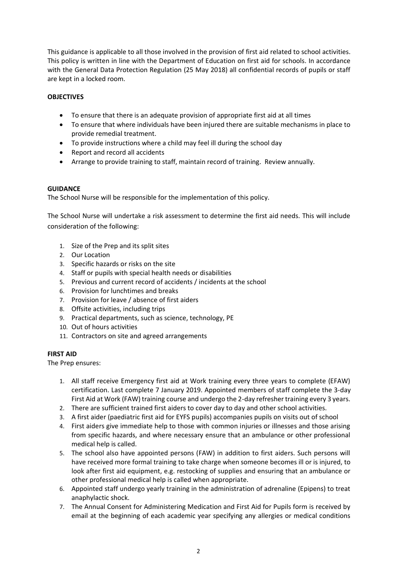This guidance is applicable to all those involved in the provision of first aid related to school activities. This policy is written in line with the Department of Education on first aid for schools. In accordance with the General Data Protection Regulation (25 May 2018) all confidential records of pupils or staff are kept in a locked room.

#### **OBJECTIVES**

- To ensure that there is an adequate provision of appropriate first aid at all times
- To ensure that where individuals have been injured there are suitable mechanisms in place to provide remedial treatment.
- To provide instructions where a child may feel ill during the school day
- Report and record all accidents
- Arrange to provide training to staff, maintain record of training. Review annually.

#### **GUIDANCE**

The School Nurse will be responsible for the implementation of this policy.

The School Nurse will undertake a risk assessment to determine the first aid needs. This will include consideration of the following:

- 1. Size of the Prep and its split sites
- 2. Our Location
- 3. Specific hazards or risks on the site
- 4. Staff or pupils with special health needs or disabilities
- 5. Previous and current record of accidents / incidents at the school
- 6. Provision for lunchtimes and breaks
- 7. Provision for leave / absence of first aiders
- 8. Offsite activities, including trips
- 9. Practical departments, such as science, technology, PE
- 10. Out of hours activities
- 11. Contractors on site and agreed arrangements

#### **FIRST AID**

The Prep ensures:

- 1. All staff receive Emergency first aid at Work training every three years to complete (EFAW) certification. Last complete 7 January 2019. Appointed members of staff complete the 3-day First Aid at Work (FAW) training course and undergo the 2-day refresher training every 3 years.
- 2. There are sufficient trained first aiders to cover day to day and other school activities.
- 3. A first aider (paediatric first aid for EYFS pupils) accompanies pupils on visits out of school
- 4. First aiders give immediate help to those with common injuries or illnesses and those arising from specific hazards, and where necessary ensure that an ambulance or other professional medical help is called.
- 5. The school also have appointed persons (FAW) in addition to first aiders. Such persons will have received more formal training to take charge when someone becomes ill or is injured, to look after first aid equipment, e.g. restocking of supplies and ensuring that an ambulance or other professional medical help is called when appropriate.
- 6. Appointed staff undergo yearly training in the administration of adrenaline (Epipens) to treat anaphylactic shock.
- 7. The Annual Consent for Administering Medication and First Aid for Pupils form is received by email at the beginning of each academic year specifying any allergies or medical conditions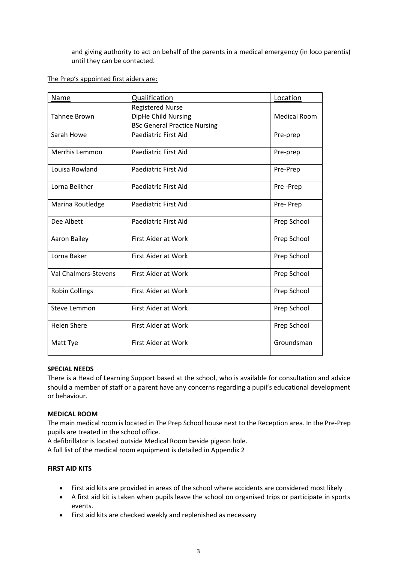and giving authority to act on behalf of the parents in a medical emergency (in loco parentis) until they can be contacted.

#### The Prep's appointed first aiders are:

| Name                        | <b>Qualification</b>                | Location            |
|-----------------------------|-------------------------------------|---------------------|
|                             | <b>Registered Nurse</b>             |                     |
| <b>Tahnee Brown</b>         | DipHe Child Nursing                 | <b>Medical Room</b> |
|                             | <b>BSc General Practice Nursing</b> |                     |
| Sarah Howe                  | <b>Paediatric First Aid</b>         | Pre-prep            |
| Merrhis Lemmon              | Paediatric First Aid                | Pre-prep            |
| Louisa Rowland              | Paediatric First Aid                | Pre-Prep            |
| Lorna Belither              | Paediatric First Aid                | Pre-Prep            |
| Marina Routledge            | Paediatric First Aid                | Pre-Prep            |
| Dee Albett                  | Paediatric First Aid                | Prep School         |
| Aaron Bailey                | <b>First Aider at Work</b>          | Prep School         |
| Lorna Baker                 | First Aider at Work                 | Prep School         |
| <b>Val Chalmers-Stevens</b> | <b>First Aider at Work</b>          | Prep School         |
| <b>Robin Collings</b>       | <b>First Aider at Work</b>          | Prep School         |
| <b>Steve Lemmon</b>         | <b>First Aider at Work</b>          | Prep School         |
| <b>Helen Shere</b>          | First Aider at Work                 | Prep School         |
| Matt Tye                    | <b>First Aider at Work</b>          | Groundsman          |

#### **SPECIAL NEEDS**

There is a Head of Learning Support based at the school, who is available for consultation and advice should a member of staff or a parent have any concerns regarding a pupil's educational development or behaviour.

#### **MEDICAL ROOM**

The main medical room is located in The Prep School house next to the Reception area. In the Pre-Prep pupils are treated in the school office.

A defibrillator is located outside Medical Room beside pigeon hole.

A full list of the medical room equipment is detailed in Appendix 2

#### **FIRST AID KITS**

- First aid kits are provided in areas of the school where accidents are considered most likely
- A first aid kit is taken when pupils leave the school on organised trips or participate in sports events.
- First aid kits are checked weekly and replenished as necessary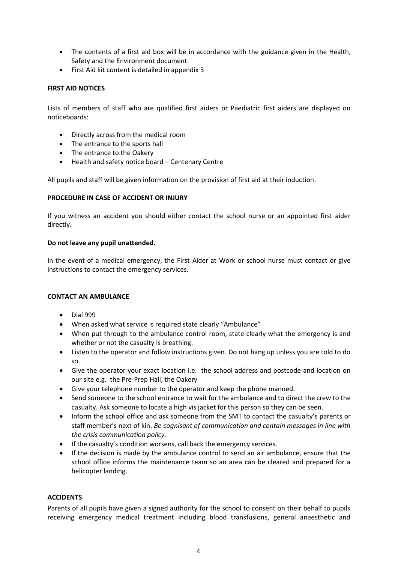- The contents of a first aid box will be in accordance with the guidance given in the Health, Safety and the Environment document
- First Aid kit content is detailed in appendix 3

#### **FIRST AID NOTICES**

Lists of members of staff who are qualified first aiders or Paediatric first aiders are displayed on noticeboards:

- Directly across from the medical room
- The entrance to the sports hall
- The entrance to the Oakery
- Health and safety notice board Centenary Centre

All pupils and staff will be given information on the provision of first aid at their induction.

#### **PROCEDURE IN CASE OF ACCIDENT OR INJURY**

If you witness an accident you should either contact the school nurse or an appointed first aider directly.

#### **Do not leave any pupil unattended.**

In the event of a medical emergency, the First Aider at Work or school nurse must contact or give instructions to contact the emergency services.

#### **CONTACT AN AMBULANCE**

- Dial 999
- When asked what service is required state clearly "Ambulance"
- When put through to the ambulance control room, state clearly what the emergency is and whether or not the casualty is breathing.
- Listen to the operator and follow instructions given. Do not hang up unless you are told to do so.
- Give the operator your exact location i.e. the school address and postcode and location on our site e.g. the Pre-Prep Hall, the Oakery
- Give your telephone number to the operator and keep the phone manned.
- Send someone to the school entrance to wait for the ambulance and to direct the crew to the casualty. Ask someone to locate a high vis jacket for this person so they can be seen.
- Inform the school office and ask someone from the SMT to contact the casualty's parents or staff member's next of kin. *Be cognisant of communication and contain messages in line with the crisis communication policy.*
- If the casualty's condition worsens, call back the emergency services.
- If the decision is made by the ambulance control to send an air ambulance, ensure that the school office informs the maintenance team so an area can be cleared and prepared for a helicopter landing.

#### **ACCIDENTS**

Parents of all pupils have given a signed authority for the school to consent on their behalf to pupils receiving emergency medical treatment including blood transfusions, general anaesthetic and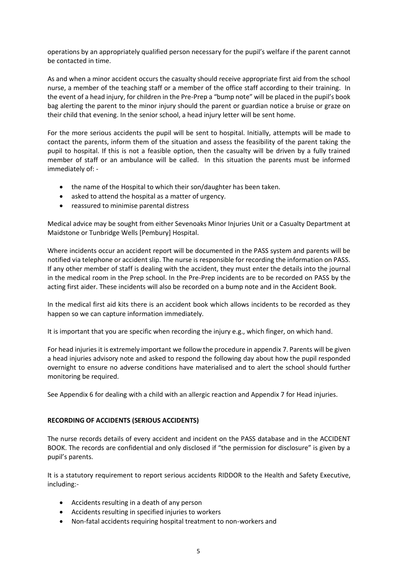operations by an appropriately qualified person necessary for the pupil's welfare if the parent cannot be contacted in time.

As and when a minor accident occurs the casualty should receive appropriate first aid from the school nurse, a member of the teaching staff or a member of the office staff according to their training. In the event of a head injury, for children in the Pre-Prep a "bump note" will be placed in the pupil's book bag alerting the parent to the minor injury should the parent or guardian notice a bruise or graze on their child that evening. In the senior school, a head injury letter will be sent home.

For the more serious accidents the pupil will be sent to hospital. Initially, attempts will be made to contact the parents, inform them of the situation and assess the feasibility of the parent taking the pupil to hospital. If this is not a feasible option, then the casualty will be driven by a fully trained member of staff or an ambulance will be called. In this situation the parents must be informed immediately of: -

- the name of the Hospital to which their son/daughter has been taken.
- asked to attend the hospital as a matter of urgency.
- reassured to minimise parental distress

Medical advice may be sought from either Sevenoaks Minor Injuries Unit or a Casualty Department at Maidstone or Tunbridge Wells [Pembury] Hospital.

Where incidents occur an accident report will be documented in the PASS system and parents will be notified via telephone or accident slip. The nurse is responsible for recording the information on PASS. If any other member of staff is dealing with the accident, they must enter the details into the journal in the medical room in the Prep school. In the Pre-Prep incidents are to be recorded on PASS by the acting first aider. These incidents will also be recorded on a bump note and in the Accident Book.

In the medical first aid kits there is an accident book which allows incidents to be recorded as they happen so we can capture information immediately.

It is important that you are specific when recording the injury e.g., which finger, on which hand.

For head injuries it is extremely important we follow the procedure in appendix 7. Parents will be given a head injuries advisory note and asked to respond the following day about how the pupil responded overnight to ensure no adverse conditions have materialised and to alert the school should further monitoring be required.

See Appendix 6 for dealing with a child with an allergic reaction and Appendix 7 for Head injuries.

#### **RECORDING OF ACCIDENTS (SERIOUS ACCIDENTS)**

The nurse records details of every accident and incident on the PASS database and in the ACCIDENT BOOK. The records are confidential and only disclosed if "the permission for disclosure" is given by a pupil's parents.

It is a statutory requirement to report serious accidents RIDDOR to the Health and Safety Executive, including:-

- Accidents resulting in a death of any person
- Accidents resulting in specified injuries to workers
- Non-fatal accidents requiring hospital treatment to non-workers and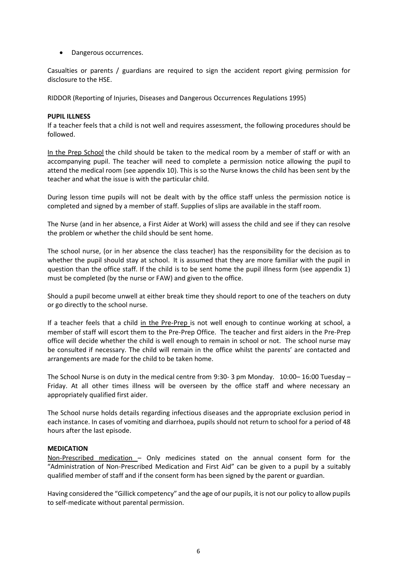• Dangerous occurrences.

Casualties or parents / guardians are required to sign the accident report giving permission for disclosure to the HSE.

RIDDOR (Reporting of Injuries, Diseases and Dangerous Occurrences Regulations 1995)

#### **PUPIL ILLNESS**

If a teacher feels that a child is not well and requires assessment, the following procedures should be followed.

In the Prep School the child should be taken to the medical room by a member of staff or with an accompanying pupil. The teacher will need to complete a permission notice allowing the pupil to attend the medical room (see appendix 10). This is so the Nurse knows the child has been sent by the teacher and what the issue is with the particular child.

During lesson time pupils will not be dealt with by the office staff unless the permission notice is completed and signed by a member of staff. Supplies of slips are available in the staff room.

The Nurse (and in her absence, a First Aider at Work) will assess the child and see if they can resolve the problem or whether the child should be sent home.

The school nurse, (or in her absence the class teacher) has the responsibility for the decision as to whether the pupil should stay at school. It is assumed that they are more familiar with the pupil in question than the office staff. If the child is to be sent home the pupil illness form (see appendix 1) must be completed (by the nurse or FAW) and given to the office.

Should a pupil become unwell at either break time they should report to one of the teachers on duty or go directly to the school nurse.

If a teacher feels that a child in the Pre-Prep is not well enough to continue working at school, a member of staff will escort them to the Pre-Prep Office. The teacher and first aiders in the Pre-Prep office will decide whether the child is well enough to remain in school or not. The school nurse may be consulted if necessary. The child will remain in the office whilst the parents' are contacted and arrangements are made for the child to be taken home.

The School Nurse is on duty in the medical centre from 9:30- 3 pm Monday. 10:00– 16:00 Tuesday – Friday. At all other times illness will be overseen by the office staff and where necessary an appropriately qualified first aider.

The School nurse holds details regarding infectious diseases and the appropriate exclusion period in each instance. In cases of vomiting and diarrhoea, pupils should not return to school for a period of 48 hours after the last episode.

#### **MEDICATION**

Non-Prescribed medication – Only medicines stated on the annual consent form for the "Administration of Non-Prescribed Medication and First Aid" can be given to a pupil by a suitably qualified member of staff and if the consent form has been signed by the parent or guardian.

Having considered the "Gillick competency" and the age of our pupils, it is not our policy to allow pupils to self-medicate without parental permission.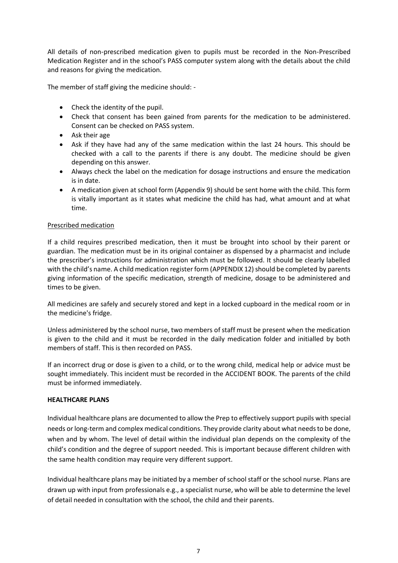All details of non-prescribed medication given to pupils must be recorded in the Non-Prescribed Medication Register and in the school's PASS computer system along with the details about the child and reasons for giving the medication.

The member of staff giving the medicine should: -

- Check the identity of the pupil.
- Check that consent has been gained from parents for the medication to be administered. Consent can be checked on PASS system.
- Ask their age
- Ask if they have had any of the same medication within the last 24 hours. This should be checked with a call to the parents if there is any doubt. The medicine should be given depending on this answer.
- Always check the label on the medication for dosage instructions and ensure the medication is in date.
- A medication given at school form (Appendix 9) should be sent home with the child. This form is vitally important as it states what medicine the child has had, what amount and at what time.

#### Prescribed medication

If a child requires prescribed medication, then it must be brought into school by their parent or guardian. The medication must be in its original container as dispensed by a pharmacist and include the prescriber's instructions for administration which must be followed. It should be clearly labelled with the child's name. A child medication register form (APPENDIX 12) should be completed by parents giving information of the specific medication, strength of medicine, dosage to be administered and times to be given.

All medicines are safely and securely stored and kept in a locked cupboard in the medical room or in the medicine's fridge.

Unless administered by the school nurse, two members of staff must be present when the medication is given to the child and it must be recorded in the daily medication folder and initialled by both members of staff. This is then recorded on PASS.

If an incorrect drug or dose is given to a child, or to the wrong child, medical help or advice must be sought immediately. This incident must be recorded in the ACCIDENT BOOK. The parents of the child must be informed immediately.

#### **HEALTHCARE PLANS**

Individual healthcare plans are documented to allow the Prep to effectively support pupils with special needs or long-term and complex medical conditions. They provide clarity about what needs to be done, when and by whom. The level of detail within the individual plan depends on the complexity of the child's condition and the degree of support needed. This is important because different children with the same health condition may require very different support.

Individual healthcare plans may be initiated by a member of school staff or the school nurse. Plans are drawn up with input from professionals e.g., a specialist nurse, who will be able to determine the level of detail needed in consultation with the school, the child and their parents.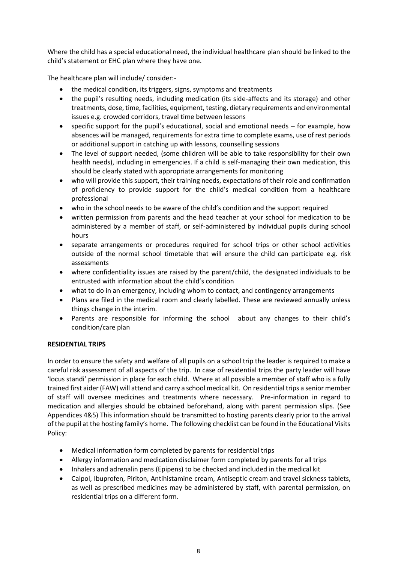Where the child has a special educational need, the individual healthcare plan should be linked to the child's statement or EHC plan where they have one.

The healthcare plan will include/ consider:-

- the medical condition, its triggers, signs, symptoms and treatments
- the pupil's resulting needs, including medication (its side-affects and its storage) and other treatments, dose, time, facilities, equipment, testing, dietary requirements and environmental issues e.g. crowded corridors, travel time between lessons
- specific support for the pupil's educational, social and emotional needs for example, how absences will be managed, requirements for extra time to complete exams, use of rest periods or additional support in catching up with lessons, counselling sessions
- The level of support needed, (some children will be able to take responsibility for their own health needs), including in emergencies. If a child is self-managing their own medication, this should be clearly stated with appropriate arrangements for monitoring
- who will provide this support, their training needs, expectations of their role and confirmation of proficiency to provide support for the child's medical condition from a healthcare professional
- who in the school needs to be aware of the child's condition and the support required
- written permission from parents and the head teacher at your school for medication to be administered by a member of staff, or self-administered by individual pupils during school hours
- separate arrangements or procedures required for school trips or other school activities outside of the normal school timetable that will ensure the child can participate e.g. risk assessments
- where confidentiality issues are raised by the parent/child, the designated individuals to be entrusted with information about the child's condition
- what to do in an emergency, including whom to contact, and contingency arrangements
- Plans are filed in the medical room and clearly labelled. These are reviewed annually unless things change in the interim.
- Parents are responsible for informing the school about any changes to their child's condition/care plan

#### **RESIDENTIAL TRIPS**

In order to ensure the safety and welfare of all pupils on a school trip the leader is required to make a careful risk assessment of all aspects of the trip. In case of residential trips the party leader will have 'locus standi' permission in place for each child. Where at all possible a member of staff who is a fully trained first aider (FAW) will attend and carry a school medical kit. On residential trips a senior member of staff will oversee medicines and treatments where necessary. Pre-information in regard to medication and allergies should be obtained beforehand, along with parent permission slips. (See Appendices 4&5) This information should be transmitted to hosting parents clearly prior to the arrival of the pupil at the hosting family's home. The following checklist can be found in the Educational Visits Policy:

- Medical information form completed by parents for residential trips
- Allergy information and medication disclaimer form completed by parents for all trips
- Inhalers and adrenalin pens (Epipens) to be checked and included in the medical kit
- Calpol, Ibuprofen, Piriton, Antihistamine cream, Antiseptic cream and travel sickness tablets, as well as prescribed medicines may be administered by staff, with parental permission, on residential trips on a different form.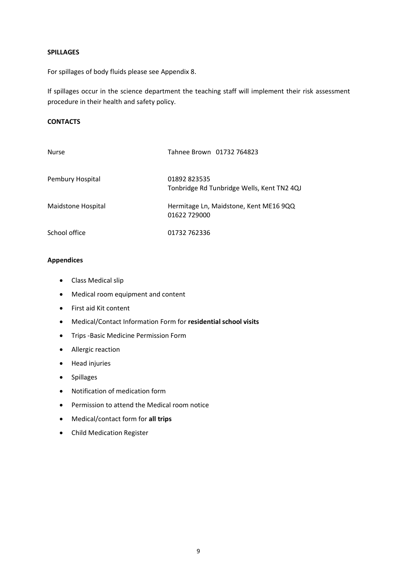#### **SPILLAGES**

For spillages of body fluids please see Appendix 8.

If spillages occur in the science department the teaching staff will implement their risk assessment procedure in their health and safety policy.

#### **CONTACTS**

| <b>Nurse</b>       | Tahnee Brown 01732 764823                                  |
|--------------------|------------------------------------------------------------|
| Pembury Hospital   | 01892 823535<br>Tonbridge Rd Tunbridge Wells, Kent TN2 4QJ |
| Maidstone Hospital | Hermitage Ln, Maidstone, Kent ME16 9QQ<br>01622 729000     |
| School office      | 01732 762336                                               |

### **Appendices**

- Class Medical slip
- Medical room equipment and content
- First aid Kit content
- Medical/Contact Information Form for **residential school visits**
- Trips -Basic Medicine Permission Form
- Allergic reaction
- Head injuries
- Spillages
- Notification of medication form
- Permission to attend the Medical room notice
- Medical/contact form for **all trips**
- Child Medication Register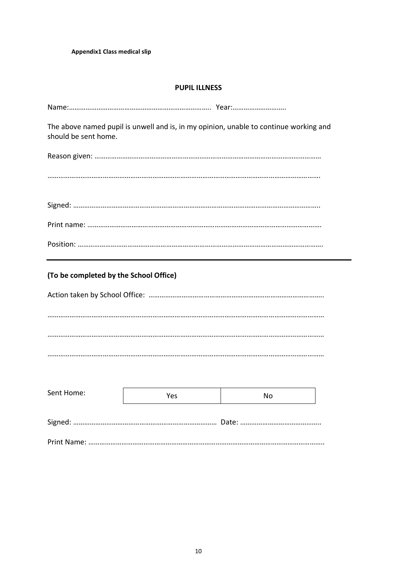#### **PUPIL ILLNESS**

| The above named pupil is unwell and is, in my opinion, unable to continue working and<br>should be sent home. |
|---------------------------------------------------------------------------------------------------------------|
|                                                                                                               |
|                                                                                                               |
|                                                                                                               |
|                                                                                                               |
|                                                                                                               |
| (To be completed by the School Office)                                                                        |
|                                                                                                               |
|                                                                                                               |
|                                                                                                               |
|                                                                                                               |

| Sent Home: | Yes | Nο |
|------------|-----|----|
|            |     |    |
|            |     |    |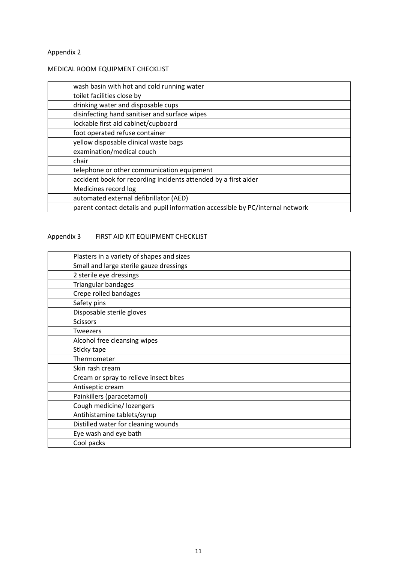#### MEDICAL ROOM EQUIPMENT CHECKLIST

| wash basin with hot and cold running water                                     |
|--------------------------------------------------------------------------------|
| toilet facilities close by                                                     |
| drinking water and disposable cups                                             |
| disinfecting hand sanitiser and surface wipes                                  |
| lockable first aid cabinet/cupboard                                            |
| foot operated refuse container                                                 |
| yellow disposable clinical waste bags                                          |
| examination/medical couch                                                      |
| chair                                                                          |
| telephone or other communication equipment                                     |
| accident book for recording incidents attended by a first aider                |
| Medicines record log                                                           |
| automated external defibrillator (AED)                                         |
| parent contact details and pupil information accessible by PC/internal network |

## Appendix 3 FIRST AID KIT EQUIPMENT CHECKLIST

| Plasters in a variety of shapes and sizes |
|-------------------------------------------|
| Small and large sterile gauze dressings   |
| 2 sterile eye dressings                   |
| Triangular bandages                       |
| Crepe rolled bandages                     |
| Safety pins                               |
| Disposable sterile gloves                 |
| <b>Scissors</b>                           |
| <b>Tweezers</b>                           |
| Alcohol free cleansing wipes              |
| Sticky tape                               |
| Thermometer                               |
| Skin rash cream                           |
| Cream or spray to relieve insect bites    |
| Antiseptic cream                          |
| Painkillers (paracetamol)                 |
| Cough medicine/ lozengers                 |
| Antihistamine tablets/syrup               |
| Distilled water for cleaning wounds       |
| Eye wash and eye bath                     |
| Cool packs                                |
|                                           |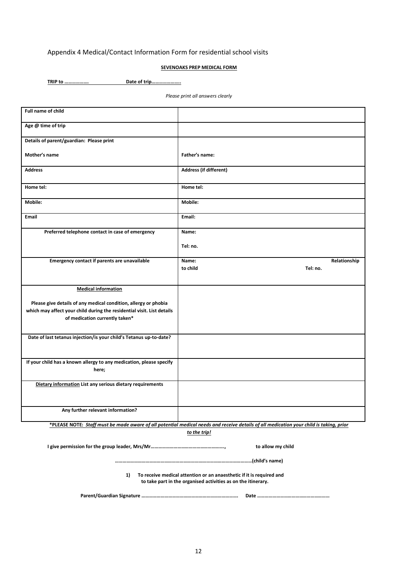## Appendix 4 Medical/Contact Information Form for residential school visits

#### **SEVENOAKS PREP MEDICAL FORM**

**TRIP to ………………. Date of trip…………………..**

*Please print all answers clearly*

| <b>Full name of child</b>                                              |                                                                                                                                         |
|------------------------------------------------------------------------|-----------------------------------------------------------------------------------------------------------------------------------------|
| Age @ time of trip                                                     |                                                                                                                                         |
| Details of parent/guardian: Please print                               |                                                                                                                                         |
| Mother's name                                                          | Father's name:                                                                                                                          |
| <b>Address</b>                                                         | Address (if different)                                                                                                                  |
| Home tel:                                                              | Home tel:                                                                                                                               |
| Mobile:                                                                | Mobile:                                                                                                                                 |
| Email                                                                  | Email:                                                                                                                                  |
| Preferred telephone contact in case of emergency                       | Name:                                                                                                                                   |
|                                                                        | Tel: no.                                                                                                                                |
| Emergency contact if parents are unavailable                           | Relationship<br>Name:                                                                                                                   |
|                                                                        | to child<br>Tel: no.                                                                                                                    |
| <b>Medical information</b>                                             |                                                                                                                                         |
| Please give details of any medical condition, allergy or phobia        |                                                                                                                                         |
| which may affect your child during the residential visit. List details |                                                                                                                                         |
| of medication currently taken*                                         |                                                                                                                                         |
| Date of last tetanus injection/is your child's Tetanus up-to-date?     |                                                                                                                                         |
|                                                                        |                                                                                                                                         |
| If your child has a known allergy to any medication, please specify    |                                                                                                                                         |
| here;                                                                  |                                                                                                                                         |
| Dietary information List any serious dietary requirements              |                                                                                                                                         |
|                                                                        |                                                                                                                                         |
| Any further relevant information?                                      |                                                                                                                                         |
|                                                                        | *PLEASE NOTE: Staff must be made aware of all potential medical needs and receive details of all medication your child is taking, prior |
|                                                                        | to the trip!                                                                                                                            |
| to allow my child                                                      |                                                                                                                                         |
|                                                                        |                                                                                                                                         |
| 1)                                                                     | To receive medical attention or an anaesthetic if it is required and<br>to take part in the organised activities as on the itinerary.   |
|                                                                        |                                                                                                                                         |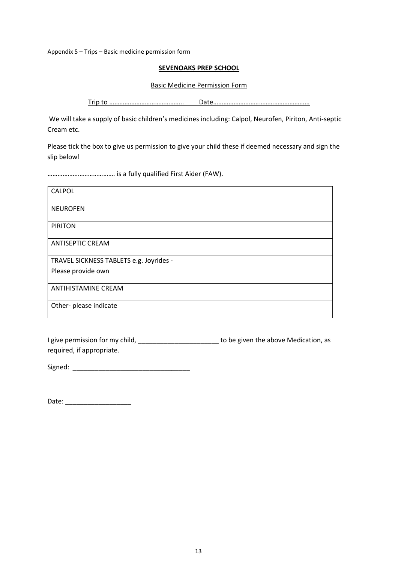Appendix 5 – Trips – Basic medicine permission form

#### **SEVENOAKS PREP SCHOOL**

Basic Medicine Permission Form

Trip to …………………………………….. Date…………………………………………………

We will take a supply of basic children's medicines including: Calpol, Neurofen, Piriton, Anti-septic Cream etc.

Please tick the box to give us permission to give your child these if deemed necessary and sign the slip below!

…………………………………. is a fully qualified First Aider (FAW).

| CALPOL                                  |  |
|-----------------------------------------|--|
| <b>NEUROFEN</b>                         |  |
| <b>PIRITON</b>                          |  |
| <b>ANTISEPTIC CREAM</b>                 |  |
| TRAVEL SICKNESS TABLETS e.g. Joyrides - |  |
| Please provide own                      |  |
| <b>ANTIHISTAMINE CREAM</b>              |  |
| Other- please indicate                  |  |

I give permission for my child, \_\_\_\_\_\_\_\_\_\_\_\_\_\_\_\_\_\_\_\_\_\_\_\_\_\_ to be given the above Medication, as required, if appropriate.

Signed:

Date: \_\_\_\_\_\_\_\_\_\_\_\_\_\_\_\_\_\_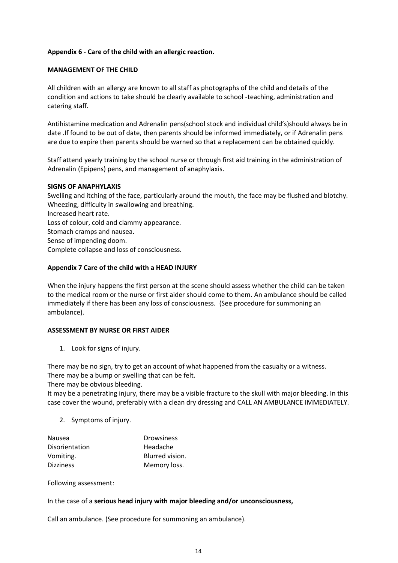#### **Appendix 6 - Care of the child with an allergic reaction.**

#### **MANAGEMENT OF THE CHILD**

All children with an allergy are known to all staff as photographs of the child and details of the condition and actions to take should be clearly available to school -teaching, administration and catering staff.

Antihistamine medication and Adrenalin pens(school stock and individual child's)should always be in date .If found to be out of date, then parents should be informed immediately, or if Adrenalin pens are due to expire then parents should be warned so that a replacement can be obtained quickly.

Staff attend yearly training by the school nurse or through first aid training in the administration of Adrenalin (Epipens) pens, and management of anaphylaxis.

#### **SIGNS OF ANAPHYLAXIS**

Swelling and itching of the face, particularly around the mouth, the face may be flushed and blotchy. Wheezing, difficulty in swallowing and breathing. Increased heart rate. Loss of colour, cold and clammy appearance. Stomach cramps and nausea. Sense of impending doom. Complete collapse and loss of consciousness.

#### **Appendix 7 Care of the child with a HEAD INJURY**

When the injury happens the first person at the scene should assess whether the child can be taken to the medical room or the nurse or first aider should come to them. An ambulance should be called immediately if there has been any loss of consciousness. (See procedure for summoning an ambulance).

#### **ASSESSMENT BY NURSE OR FIRST AIDER**

1. Look for signs of injury.

There may be no sign, try to get an account of what happened from the casualty or a witness. There may be a bump or swelling that can be felt.

There may be obvious bleeding.

It may be a penetrating injury, there may be a visible fracture to the skull with major bleeding. In this case cover the wound, preferably with a clean dry dressing and CALL AN AMBULANCE IMMEDIATELY.

2. Symptoms of injury.

| <b>Drowsiness</b> |
|-------------------|
| Headache          |
| Blurred vision.   |
| Memory loss.      |
|                   |

Following assessment:

In the case of a **serious head injury with major bleeding and/or unconsciousness,**

Call an ambulance. (See procedure for summoning an ambulance).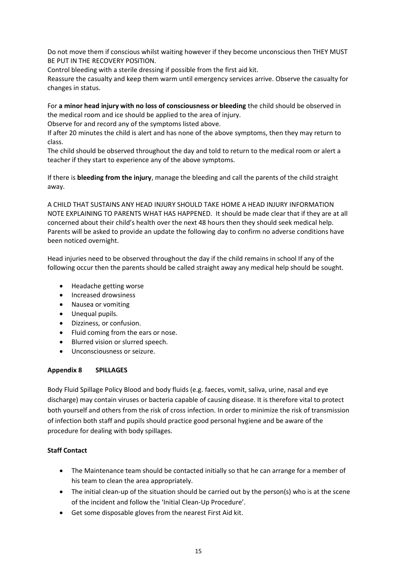Do not move them if conscious whilst waiting however if they become unconscious then THEY MUST BE PUT IN THE RECOVERY POSITION.

Control bleeding with a sterile dressing if possible from the first aid kit.

Reassure the casualty and keep them warm until emergency services arrive. Observe the casualty for changes in status.

For **a minor head injury with no loss of consciousness or bleeding** the child should be observed in the medical room and ice should be applied to the area of injury.

Observe for and record any of the symptoms listed above.

If after 20 minutes the child is alert and has none of the above symptoms, then they may return to class.

The child should be observed throughout the day and told to return to the medical room or alert a teacher if they start to experience any of the above symptoms.

If there is **bleeding from the injury**, manage the bleeding and call the parents of the child straight away.

A CHILD THAT SUSTAINS ANY HEAD INJURY SHOULD TAKE HOME A HEAD INJURY INFORMATION NOTE EXPLAINING TO PARENTS WHAT HAS HAPPENED. It should be made clear that if they are at all concerned about their child's health over the next 48 hours then they should seek medical help. Parents will be asked to provide an update the following day to confirm no adverse conditions have been noticed overnight.

Head injuries need to be observed throughout the day if the child remains in school If any of the following occur then the parents should be called straight away any medical help should be sought.

- Headache getting worse
- Increased drowsiness
- Nausea or vomiting
- Unequal pupils.
- Dizziness, or confusion.
- Fluid coming from the ears or nose.
- Blurred vision or slurred speech.
- Unconsciousness or seizure.

#### **Appendix 8 SPILLAGES**

Body Fluid Spillage Policy Blood and body fluids (e.g. faeces, vomit, saliva, urine, nasal and eye discharge) may contain viruses or bacteria capable of causing disease. It is therefore vital to protect both yourself and others from the risk of cross infection. In order to minimize the risk of transmission of infection both staff and pupils should practice good personal hygiene and be aware of the procedure for dealing with body spillages.

#### **Staff Contact**

- The Maintenance team should be contacted initially so that he can arrange for a member of his team to clean the area appropriately.
- The initial clean-up of the situation should be carried out by the person(s) who is at the scene of the incident and follow the 'Initial Clean-Up Procedure'.
- Get some disposable gloves from the nearest First Aid kit.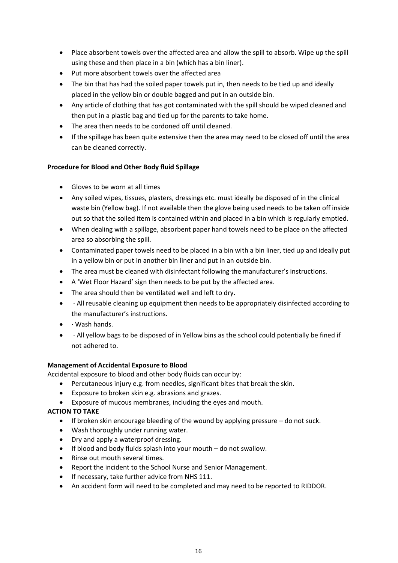- Place absorbent towels over the affected area and allow the spill to absorb. Wipe up the spill using these and then place in a bin (which has a bin liner).
- Put more absorbent towels over the affected area
- The bin that has had the soiled paper towels put in, then needs to be tied up and ideally placed in the yellow bin or double bagged and put in an outside bin.
- Any article of clothing that has got contaminated with the spill should be wiped cleaned and then put in a plastic bag and tied up for the parents to take home.
- The area then needs to be cordoned off until cleaned.
- If the spillage has been quite extensive then the area may need to be closed off until the area can be cleaned correctly.

#### **Procedure for Blood and Other Body fluid Spillage**

- Gloves to be worn at all times
- Any soiled wipes, tissues, plasters, dressings etc. must ideally be disposed of in the clinical waste bin (Yellow bag). If not available then the glove being used needs to be taken off inside out so that the soiled item is contained within and placed in a bin which is regularly emptied.
- When dealing with a spillage, absorbent paper hand towels need to be place on the affected area so absorbing the spill.
- Contaminated paper towels need to be placed in a bin with a bin liner, tied up and ideally put in a yellow bin or put in another bin liner and put in an outside bin.
- The area must be cleaned with disinfectant following the manufacturer's instructions.
- A 'Wet Floor Hazard' sign then needs to be put by the affected area.
- The area should then be ventilated well and left to dry.
- · All reusable cleaning up equipment then needs to be appropriately disinfected according to the manufacturer's instructions.
- · Wash hands.
- · All yellow bags to be disposed of in Yellow bins as the school could potentially be fined if not adhered to.

#### **Management of Accidental Exposure to Blood**

Accidental exposure to blood and other body fluids can occur by:

- Percutaneous injury e.g. from needles, significant bites that break the skin.
- Exposure to broken skin e.g. abrasions and grazes.
- Exposure of mucous membranes, including the eyes and mouth.

#### **ACTION TO TAKE**

- $\bullet$  If broken skin encourage bleeding of the wound by applying pressure  $-$  do not suck.
- Wash thoroughly under running water.
- Dry and apply a waterproof dressing.
- If blood and body fluids splash into your mouth do not swallow.
- Rinse out mouth several times.
- Report the incident to the School Nurse and Senior Management.
- If necessary, take further advice from NHS 111.
- An accident form will need to be completed and may need to be reported to RIDDOR.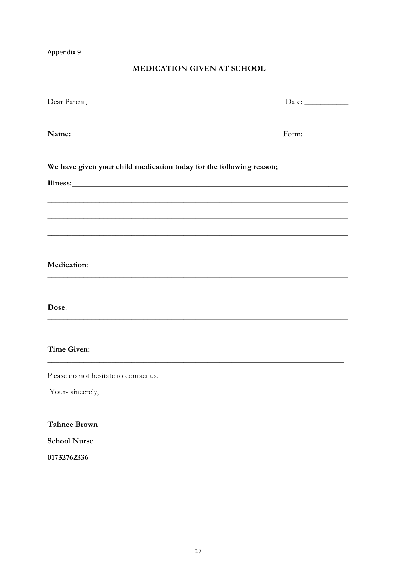## MEDICATION GIVEN AT SCHOOL

| Dear Parent,                                                                                                                                                                                                                                                                                                | Date: $\_\_$          |
|-------------------------------------------------------------------------------------------------------------------------------------------------------------------------------------------------------------------------------------------------------------------------------------------------------------|-----------------------|
|                                                                                                                                                                                                                                                                                                             | Form: $\qquad \qquad$ |
| We have given your child medication today for the following reason;<br>Illness: <u>and the second contract of the second contract of the second contract of the second contract of the second contract of the second contract of the second contract of the second contract of the second contract of t</u> |                       |
|                                                                                                                                                                                                                                                                                                             |                       |
| <b>Medication:</b>                                                                                                                                                                                                                                                                                          |                       |
| Dose:                                                                                                                                                                                                                                                                                                       |                       |
| <b>Time Given:</b>                                                                                                                                                                                                                                                                                          |                       |
| Please do not hesitate to contact us.                                                                                                                                                                                                                                                                       |                       |
| Yours sincerely,                                                                                                                                                                                                                                                                                            |                       |
| <b>Tahnee Brown</b>                                                                                                                                                                                                                                                                                         |                       |
| <b>School Nurse</b>                                                                                                                                                                                                                                                                                         |                       |

01732762336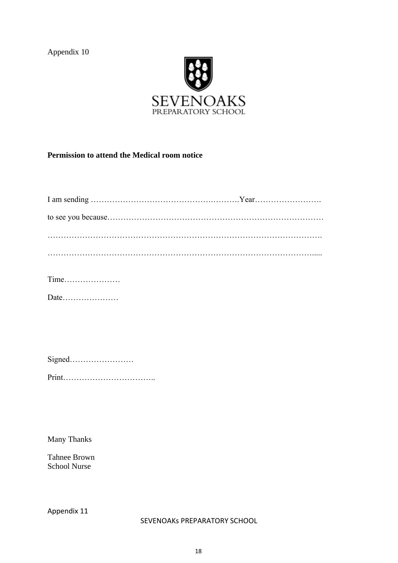

## **Permission to attend the Medical room notice**

|--|--|--|--|--|--|--|--|--|--|--|--|--|--|--|--|--|--|--|--|--|

|--|--|

Many Thanks

Tahnee Brown School Nurse

Appendix 11

SEVENOAKs PREPARATORY SCHOOL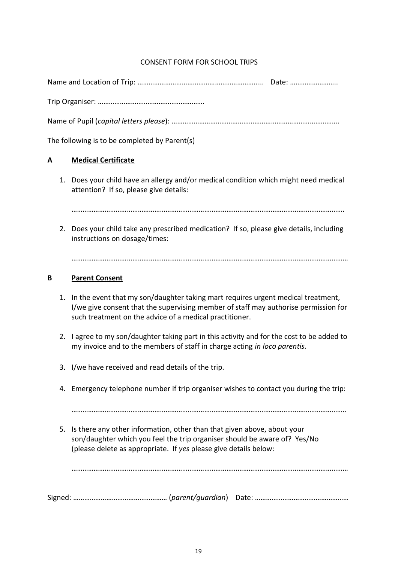## CONSENT FORM FOR SCHOOL TRIPS

|   |    | The following is to be completed by Parent(s)                                                                               |
|---|----|-----------------------------------------------------------------------------------------------------------------------------|
| A |    | <b>Medical Certificate</b>                                                                                                  |
|   | 1. | Does your child have an allergy and/or medical condition which might need medical<br>attention? If so, please give details: |
|   |    |                                                                                                                             |
|   | 2. | Does your child take any prescribed medication? If so, please give details, including<br>instructions on dosage/times:      |
|   |    |                                                                                                                             |

#### **B Parent Consent**

- 1. In the event that my son/daughter taking mart requires urgent medical treatment, I/we give consent that the supervising member of staff may authorise permission for such treatment on the advice of a medical practitioner.
- 2. I agree to my son/daughter taking part in this activity and for the cost to be added to my invoice and to the members of staff in charge acting *in loco parentis.*
- 3. I/we have received and read details of the trip.
- 4. Emergency telephone number if trip organiser wishes to contact you during the trip:

…………………………………………………………………………………………………………………………………..

5. Is there any other information, other than that given above, about your son/daughter which you feel the trip organiser should be aware of? Yes/No (please delete as appropriate. If *yes* please give details below:

……………………………………………………………………………………………………………………………………

Signed: …………………………………………… (*parent/guardian*) Date: ……………………………………………